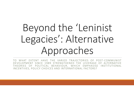# Beyond the 'Leninist Legacies': Alternative Approaches

TO WHAT EXTENT HAVE THE VARIED TRAJECTORIES OF POST-COMMUNIST DEVELOPMENT SINCE 1989 STRENGTHENED THE LEVERAGE OF ALTERNATIVE THEORIES OF POLITICAL BEHAVIOUR, WHICH EMPHASISE INSTITUTIONAL INCENTIVES, POLICY CHOICES AND INTERNATIONAL FACTORS?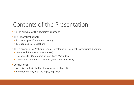#### Contents of the Presentation

- A brief critique of the 'legacies' approach
- The theoretical debate:
	- Explaining post-Communist diversity
	- Methodological implications
- Three examples of 'rational-choice' explanations of post-Communist diversity
	- State exploitation (Grzymala-Busse)
	- Response to EU membership incentives (Vachudova)
	- Democratic and market attitudes (Whitefield and Evans)
- Conclusions:
	- An epistemological rather than an empirical question?
	- Complementarity with the legacy approach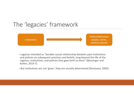#### The 'legacies' framework



- Legacies intended as "durable causal relationship between past institutions and policies on subsequent practices and beliefs, long beyond the life of the regimes, institutions, and policies that gave birth to them" (Beissinger and Kotkin, 2014:7).
- But institutions are not 'given', they are socially determined (Shvetsova, 2003)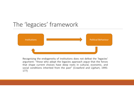#### The 'legacies' framework



Recognising the endogeneity of institutions does not defeat the 'legacies' argument: "those who adopt the legacies approach argue that the forces that shape current choices have deep roots in cultural, economic, and social conditions inherited from the past" (Crawford and Lijphart, 1995: 177)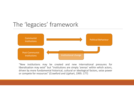#### The 'legacies' framework



"New institutions may be created and new international pressures for liberalisation may exist" but "institutions are simply 'arenas' within which actors, driven by more fundamental historical, cultural or ideological factors, seize power or compete for resources" (Crawford and Lijphart, 1995: 177)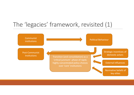# The 'legacies' framework, revisited (1)

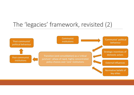# The 'legacies' framework, revisited (2)

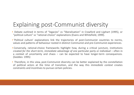# Explaining post-Communist diversity

- Debate outlined in terms of "legacies" vs "liberalisation" in Crawford and Lijphart (1995), or "political culture" vs "rational-choice" explanations (Evans and Whitefield, 1999).
- 'Political culture' explanations link the trajectories of post-Communist countries to norms, values and patterns of behaviour rooted in distinct Communist and pre-Communist experiences.
- Conversely, rational-choice frameworks highlight how, during a critical juncture, institutions created *for the short-term, immediate advantage of one particular party or individual –* often in a context of uncertainty and chaos – can be expected to have longer-term consequences. (Geddes: 1995)
- Therefore, in this view, post-Communist diversity can be better explained by the constellation of political actors at the time of transition, and the way this *immediate context* creates constraints and incentives to pursue certain policies.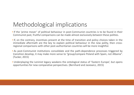# Methodological implications

- If the 'prime mover' of political behaviour in post-Communist countries is to be found in their Communist past, fruitful comparisons can be made almost exclusively *between* these polities.
- If, on the contrary, incentives present at the time of transition and policy choices taken in the immediate aftermath are the key to explain political behaviour in the new polity, then crossregional comparisons with other post-authoritarian countries will be more insightful.
- As post-Communist institutions consolidate and the path-dependence processes triggered by transition develop, it may make more sense to "group/compare Poland with Spain, not Albania". (Tucker, 2015)
- Underplaying the Leninist legacy weakens the ontological status of 'Eastern Europe', but opens opportunities for new comparative perspectives. (Bernhard and Jasiewicz, 2015)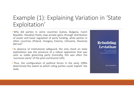# Example (1): Explaining Variation in 'State Exploitation'

- Why did parties in some countries (Latvia, Bulgaria, Czech Republic, Slovakia) freely reap private gains through distribution of assets and loose regulation of party funding, while parties in other countries (Poland, Hungary, Estonia, Lithuania, Slovenia) did not?
- In absence of institutional safeguard, the only check on state exploitation was the presence of a robust opposition that was seen as viable governing party (ironically, this was often the 'successor party' of the post-communist Left).
- Thus, the configuration of political forces in the early 1990s determined the extent to which ruling parties could 'exploit' the state.

#### **Rebuilding Leviathan**

PARTY COMPETITION AND POST-COMMUNIST DEMOCRACIES

**Anna Grzymała-Busse**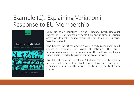# Example (2): Explaining Variation in Response to EU Membership



MILADA ANNA VACHUDOVA

- Why did some countries (Poland, Hungary, Czech Republic) satisfy the EU *acquis* requirements fully and in time in various areas of domestic policy, while others (Romania, Bulgaria, Slovakia) did not?
- The benefits of EU membership were clearly recognised by all countries; however, the costs of satisfying the entry requirements varied as a function of the political strategies ruling parties needed to sustain themselves in power.
- For illiberal parties in RO, BL and SK, it was more costly to open up electoral competition, limit rent-seeking and precluding ethnic nationalism – as these were the strategies that kept them in power.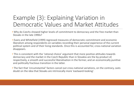### Example (3): Explaining Variation in Democratic Values and Market Attitudes

- Why do Czechs showed higher levels of commitment to democracy and the free market than Slovaks in the late 1990s?
- Evans and Whitefield (1999) regressed measures of democratic commitment and economic liberalism among respondents on variables recording their personal experience of the current political system and of their living standards. Once this is accounted for, cross-national variation disappears.
- This is consistent with the 'rational choice' argument that more positive attitudes towards democracy and the market in the Czech Republic than in Slovakia are the by-product of, respectively, a smooth and successful liberalisation in the former, and an economically punitive and politically fractious transition in the latter.
- The fact that 'circumstantial' factors cancel out cross-national variations, on the contrary, casts doubt on the idea that Slovaks are intrinsically more 'eastward-looking'.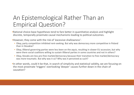# An Epistemological Rather Than an Empirical Question?

•Rational choice-base hypotheses tend to fare better in quantitative analysis and highlight discrete, temporally proximate causal mechanisms leading to political outcomes.

•However, they come with the risk of 'excessive shallowness':

- Okay, party competition inhibited rent-seeking. But why was democracy more competitive in Poland than in Slovakia?
- Okay, illiberal governing parties were less keen on the *aquis*, resulting in slower EU accession, but why were there social coalitions willing to sustain illiberal parties in some countries and not in others?
- Okay, Slovaks are less pro-free market/democracy because their transition to free market/democracy was more traumatic. But why was it so? Why was it perceived as such?

•In other words, could it be that, in search of simplicity and statistical validity, we are focusing on the most proximate 'triggers' overlooking 'deeper' causes further down in the chain of causation?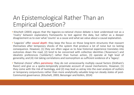# An Epistemological Rather Than an Empirical Question?

- Kitschelt (2003) argues that the legacies-vs-rational choice debate is best understood not as a 'rivalry' between explanatory frameworks to test against the data, but rather as a deeper disagreement as to over what 'counts' as a cause and what we value about a causal explanation.
- 'Legacies' offer *causal depth*: they keep the focus on those long-term structures that reassert themselves after temporary shocks of the system that produce a lot of noise but no lasting consequence. However, (1) they are often vague as to *how* historical experience translates into outcomes down the road, (2) tend to be concerned with collective identities ('Asianness') and idealistic preferences ('solidarity') rather than human action, (3) operate at high level of generality, and (4) risk taking correlations and isomorphism as sufficient evidence of a 'legacy'.
- 'Rational choice' offers *parsimony*: they do not unnecessarily multiply causal factors (Ockham's Razor) and give us a spatio-temporally proximate account of causal mechanisms. However, (1) they come with the risk of tautology, and (2) may lead us astray into the over-analysis of outliers or temporary conjunctures rather than more analytically valuable long-run steady states of post-Communist governance. (Kitschelt, 2003; Beissinger and Kotkin, 2014)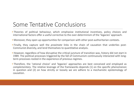#### Some Tentative Conclusions

- Theories of political behaviour, which emphasise institutional incentives, policy choices and international factors offer a useful corrective to the over-determinism of the 'legacies' approach.
- Moreover, they open up opportunities for comparison with other post-authoritarian contexts.
- Finally, they capture well the *proximate* links in the chain of causation that underlies post-Communist diversity, and lend themselves to quantitative analysis.
- However, regardless of how disruptive the critical juncture of transition was, history did not start in 1989. The political processes triggered by the fall of Communism continuously interacted with longterm processes rooted in the experience of previous regimes.
- Therefore, the 'rational choice' and 'legacies' approaches are best conceived and employed as *complementary*. The relative leverage of the frameworks depends (1) on the specific phenomenon in question and (2) on how strictly or loosely we are adhere to a mechanistic epistemology of causation.